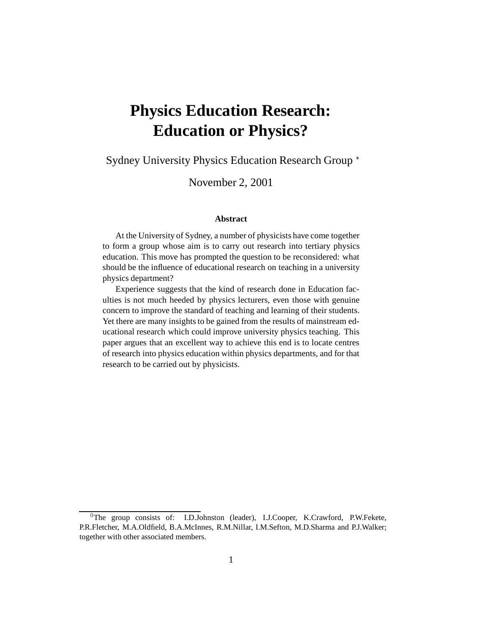# **Physics Education Research: Education or Physics?**

Sydney University Physics Education Research Group

November 2, 2001

#### **Abstract**

At the University of Sydney, a number of physicists have come together to form a group whose aim is to carry out research into tertiary physics education. This move has prompted the question to be reconsidered: what should be the influence of educational research on teaching in a university physics department?

Experience suggests that the kind of research done in Education faculties is not much heeded by physics lecturers, even those with genuine concern to improve the standard of teaching and learning of their students. Yet there are many insights to be gained from the results of mainstream educational research which could improve university physics teaching. This paper argues that an excellent way to achieve this end is to locate centres of research into physics education within physics departments, and for that research to be carried out by physicists.

<sup>&</sup>lt;sup>0</sup>The group consists of: I.D.Johnston (leader), I.J.Cooper, K.Crawford, P.W.Fekete, P.R.Fletcher, M.A.Oldfield, B.A.McInnes, R.M.Nillar, I.M.Sefton, M.D.Sharma and P.J.Walker; together with other associated members.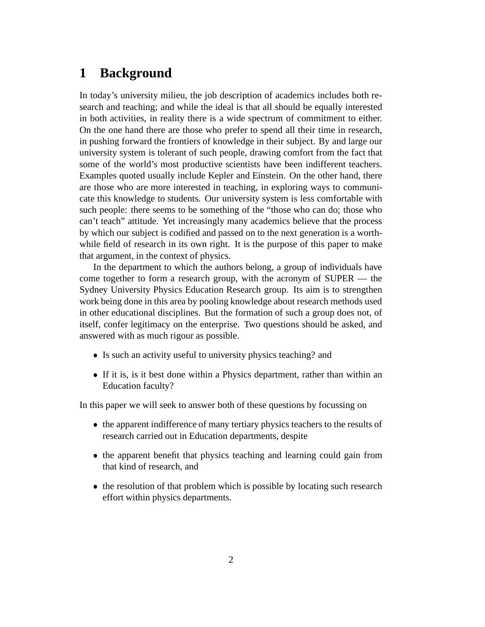### **1 Background**

In today's university milieu, the job description of academics includes both research and teaching; and while the ideal is that all should be equally interested in both activities, in reality there is a wide spectrum of commitment to either. On the one hand there are those who prefer to spend all their time in research, in pushing forward the frontiers of knowledge in their subject. By and large our university system is tolerant of such people, drawing comfort from the fact that some of the world's most productive scientists have been indifferent teachers. Examples quoted usually include Kepler and Einstein. On the other hand, there are those who are more interested in teaching, in exploring ways to communicate this knowledge to students. Our university system is less comfortable with such people: there seems to be something of the "those who can do; those who can't teach" attitude. Yet increasingly many academics believe that the process by which our subject is codified and passed on to the next generation is a worthwhile field of research in its own right. It is the purpose of this paper to make that argument, in the context of physics.

In the department to which the authors belong, a group of individuals have come together to form a research group, with the acronym of SUPER — the Sydney University Physics Education Research group. Its aim is to strengthen work being done in this area by pooling knowledge about research methods used in other educational disciplines. But the formation of such a group does not, of itself, confer legitimacy on the enterprise. Two questions should be asked, and answered with as much rigour as possible.

- Is such an activity useful to university physics teaching? and
- If it is, is it best done within a Physics department, rather than within an Education faculty?

In this paper we will seek to answer both of these questions by focussing on

- the apparent indifference of many tertiary physics teachers to the results of research carried out in Education departments, despite
- the apparent benefit that physics teaching and learning could gain from that kind of research, and
- the resolution of that problem which is possible by locating such research effort within physics departments.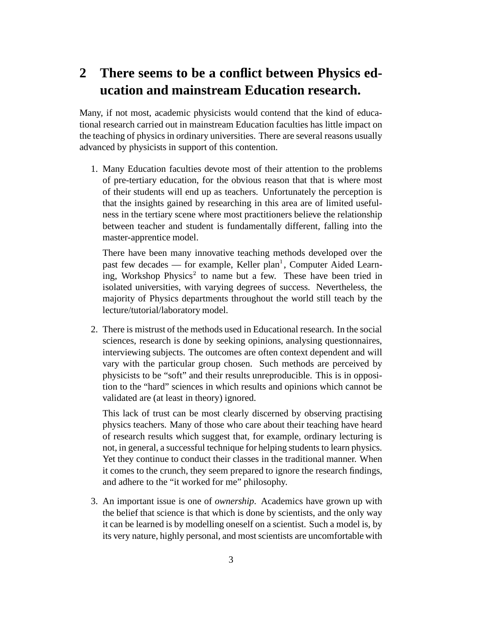# **2 There seems to be a conflict between Physics education and mainstream Education research.**

Many, if not most, academic physicists would contend that the kind of educational research carried out in mainstream Education faculties has little impact on the teaching of physics in ordinary universities. There are several reasons usually advanced by physicists in support of this contention.

1. Many Education faculties devote most of their attention to the problems of pre-tertiary education, for the obvious reason that that is where most of their students will end up as teachers. Unfortunately the perception is that the insights gained by researching in this area are of limited usefulness in the tertiary scene where most practitioners believe the relationship between teacher and student is fundamentally different, falling into the master-apprentice model.

There have been many innovative teaching methods developed over the past few decades — for example, Keller plan<sup>1</sup>, Computer Aided Learning, Workshop Physics<sup>2</sup> to name but a few. These have been tried in isolated universities, with varying degrees of success. Nevertheless, the majority of Physics departments throughout the world still teach by the lecture/tutorial/laboratory model.

2. There is mistrust of the methods used in Educational research. In the social sciences, research is done by seeking opinions, analysing questionnaires, interviewing subjects. The outcomes are often context dependent and will vary with the particular group chosen. Such methods are perceived by physicists to be "soft" and their results unreproducible. This is in opposition to the "hard" sciences in which results and opinions which cannot be validated are (at least in theory) ignored.

This lack of trust can be most clearly discerned by observing practising physics teachers. Many of those who care about their teaching have heard of research results which suggest that, for example, ordinary lecturing is not, in general, a successful technique for helping students to learn physics. Yet they continue to conduct their classes in the traditional manner. When it comes to the crunch, they seem prepared to ignore the research findings, and adhere to the "it worked for me" philosophy.

3. An important issue is one of *ownership*. Academics have grown up with the belief that science is that which is done by scientists, and the only way it can be learned is by modelling oneself on a scientist. Such a model is, by its very nature, highly personal, and most scientists are uncomfortable with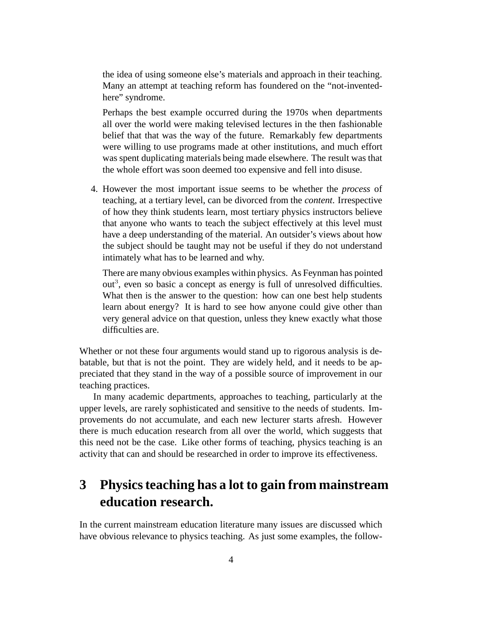the idea of using someone else's materials and approach in their teaching. Many an attempt at teaching reform has foundered on the "not-inventedhere" syndrome.

Perhaps the best example occurred during the 1970s when departments all over the world were making televised lectures in the then fashionable belief that that was the way of the future. Remarkably few departments were willing to use programs made at other institutions, and much effort was spent duplicating materials being made elsewhere. The result was that the whole effort was soon deemed too expensive and fell into disuse.

4. However the most important issue seems to be whether the *process* of teaching, at a tertiary level, can be divorced from the *content*. Irrespective of how they think students learn, most tertiary physics instructors believe that anyone who wants to teach the subject effectively at this level must have a deep understanding of the material. An outsider's views about how the subject should be taught may not be useful if they do not understand intimately what has to be learned and why.

There are many obvious examples within physics. As Feynman has pointed out<sup>3</sup>, even so basic a concept as energy is full of unresolved difficulties. What then is the answer to the question: how can one best help students learn about energy? It is hard to see how anyone could give other than very general advice on that question, unless they knew exactly what those difficulties are.

Whether or not these four arguments would stand up to rigorous analysis is debatable, but that is not the point. They are widely held, and it needs to be appreciated that they stand in the way of a possible source of improvement in our teaching practices.

In many academic departments, approaches to teaching, particularly at the upper levels, are rarely sophisticated and sensitive to the needs of students. Improvements do not accumulate, and each new lecturer starts afresh. However there is much education research from all over the world, which suggests that this need not be the case. Like other forms of teaching, physics teaching is an activity that can and should be researched in order to improve its effectiveness.

# **3 Physicsteaching has a lot to gain from mainstream education research.**

In the current mainstream education literature many issues are discussed which have obvious relevance to physics teaching. As just some examples, the follow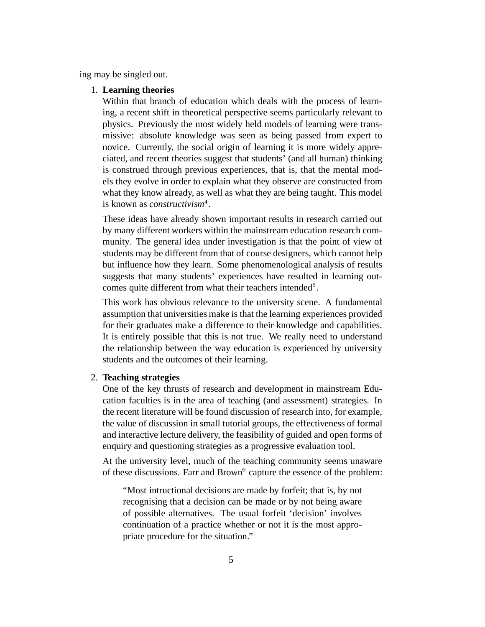ing may be singled out.

#### 1. **Learning theories**

Within that branch of education which deals with the process of learning, a recent shift in theoretical perspective seems particularly relevant to physics. Previously the most widely held models of learning were transmissive: absolute knowledge was seen as being passed from expert to novice. Currently, the social origin of learning it is more widely appreciated, and recent theories suggest that students' (and all human) thinking is construed through previous experiences, that is, that the mental models they evolve in order to explain what they observe are constructed from what they know already, as well as what they are being taught. This model is known as *constructivism* .

These ideas have already shown important results in research carried out by many different workers within the mainstream education research community. The general idea under investigation is that the point of view of students may be different from that of course designers, which cannot help but influence how they learn. Some phenomenological analysis of results suggests that many students' experiences have resulted in learning outcomes quite different from what their teachers intended<sup>5</sup>.

This work has obvious relevance to the university scene. A fundamental assumption that universities make is that the learning experiences provided for their graduates make a difference to their knowledge and capabilities. It is entirely possible that this is not true. We really need to understand the relationship between the way education is experienced by university students and the outcomes of their learning.

#### 2. **Teaching strategies**

One of the key thrusts of research and development in mainstream Education faculties is in the area of teaching (and assessment) strategies. In the recent literature will be found discussion of research into, for example, the value of discussion in small tutorial groups, the effectiveness of formal and interactive lecture delivery, the feasibility of guided and open forms of enquiry and questioning strategies as a progressive evaluation tool.

At the university level, much of the teaching community seems unaware of these discussions. Farr and Brown<sup>6</sup> capture the essence of the problem:

"Most intructional decisions are made by forfeit; that is, by not recognising that a decision can be made or by not being aware of possible alternatives. The usual forfeit 'decision' involves continuation of a practice whether or not it is the most appropriate procedure for the situation."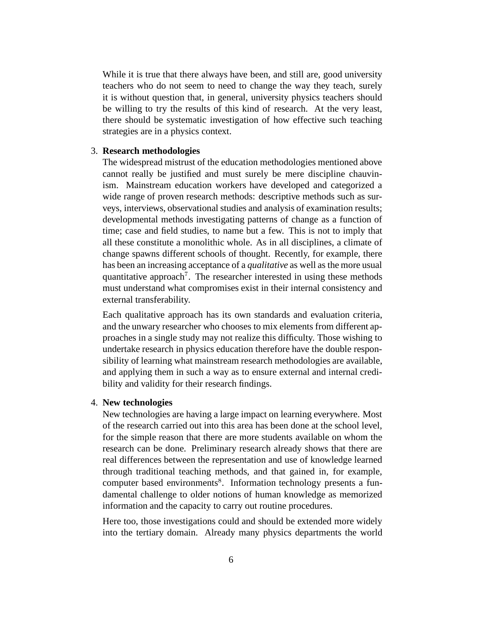While it is true that there always have been, and still are, good university teachers who do not seem to need to change the way they teach, surely it is without question that, in general, university physics teachers should be willing to try the results of this kind of research. At the very least, there should be systematic investigation of how effective such teaching strategies are in a physics context.

#### 3. **Research methodologies**

The widespread mistrust of the education methodologies mentioned above cannot really be justified and must surely be mere discipline chauvinism. Mainstream education workers have developed and categorized a wide range of proven research methods: descriptive methods such as surveys, interviews, observational studies and analysis of examination results; developmental methods investigating patterns of change as a function of time; case and field studies, to name but a few. This is not to imply that all these constitute a monolithic whole. As in all disciplines, a climate of change spawns different schools of thought. Recently, for example, there has been an increasing acceptance of a *qualitative* as well as the more usual quantitative approach<sup>7</sup>. The researcher interested in using these methods must understand what compromises exist in their internal consistency and external transferability.

Each qualitative approach has its own standards and evaluation criteria, and the unwary researcher who chooses to mix elements from different approaches in a single study may not realize this difficulty. Those wishing to undertake research in physics education therefore have the double responsibility of learning what mainstream research methodologies are available, and applying them in such a way as to ensure external and internal credibility and validity for their research findings.

#### 4. **New technologies**

New technologies are having a large impact on learning everywhere. Most of the research carried out into this area has been done at the school level, for the simple reason that there are more students available on whom the research can be done. Preliminary research already shows that there are real differences between the representation and use of knowledge learned through traditional teaching methods, and that gained in, for example, computer based environments . Information technology presents a fundamental challenge to older notions of human knowledge as memorized information and the capacity to carry out routine procedures.

Here too, those investigations could and should be extended more widely into the tertiary domain. Already many physics departments the world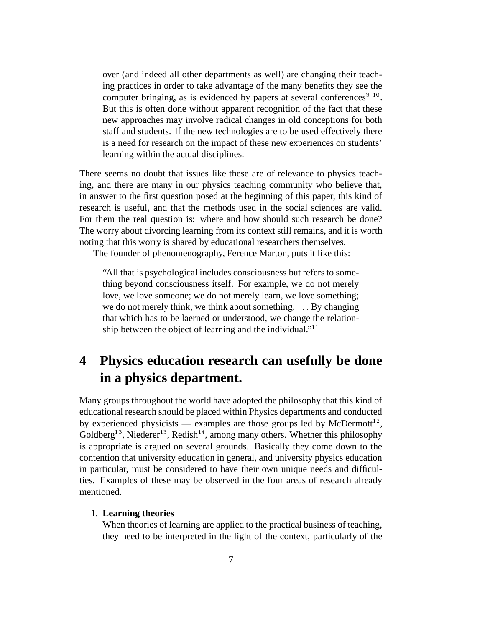over (and indeed all other departments as well) are changing their teaching practices in order to take advantage of the many benefits they see the computer bringing, as is evidenced by papers at several conferences<sup>9 10</sup>. But this is often done without apparent recognition of the fact that these new approaches may involve radical changes in old conceptions for both staff and students. If the new technologies are to be used effectively there is a need for research on the impact of these new experiences on students' learning within the actual disciplines.

There seems no doubt that issues like these are of relevance to physics teaching, and there are many in our physics teaching community who believe that, in answer to the first question posed at the beginning of this paper, this kind of research is useful, and that the methods used in the social sciences are valid. For them the real question is: where and how should such research be done? The worry about divorcing learning from its context still remains, and it is worth noting that this worry is shared by educational researchers themselves.

The founder of phenomenography, Ference Marton, puts it like this:

"All that is psychological includes consciousness but refers to something beyond consciousness itself. For example, we do not merely love, we love someone; we do not merely learn, we love something; we do not merely think, we think about something.  $\ldots$  By changing that which has to be laerned or understood, we change the relationship between the object of learning and the individual."<sup>11</sup>

# **4 Physics education research can usefully be done in a physics department.**

Many groups throughout the world have adopted the philosophy that this kind of educational research should be placed within Physics departments and conducted by experienced physicists — examples are those groups led by McDermott<sup>12</sup>, Goldberg<sup>13</sup>, Niederer<sup>13</sup>, Redish<sup>14</sup>, among many others. Whether this philosophy is appropriate is argued on several grounds. Basically they come down to the contention that university education in general, and university physics education in particular, must be considered to have their own unique needs and difficulties. Examples of these may be observed in the four areas of research already mentioned.

#### 1. **Learning theories**

When theories of learning are applied to the practical business of teaching, they need to be interpreted in the light of the context, particularly of the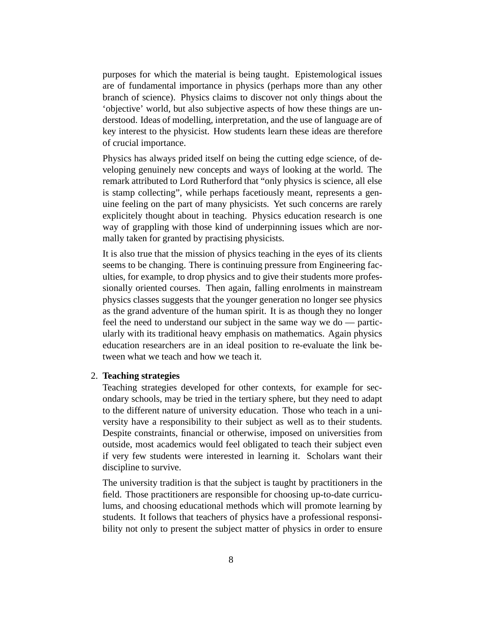purposes for which the material is being taught. Epistemological issues are of fundamental importance in physics (perhaps more than any other branch of science). Physics claims to discover not only things about the 'objective' world, but also subjective aspects of how these things are understood. Ideas of modelling, interpretation, and the use of language are of key interest to the physicist. How students learn these ideas are therefore of crucial importance.

Physics has always prided itself on being the cutting edge science, of developing genuinely new concepts and ways of looking at the world. The remark attributed to Lord Rutherford that "only physics is science, all else is stamp collecting", while perhaps facetiously meant, represents a genuine feeling on the part of many physicists. Yet such concerns are rarely explicitely thought about in teaching. Physics education research is one way of grappling with those kind of underpinning issues which are normally taken for granted by practising physicists.

It is also true that the mission of physics teaching in the eyes of its clients seems to be changing. There is continuing pressure from Engineering faculties, for example, to drop physics and to give their students more professionally oriented courses. Then again, falling enrolments in mainstream physics classes suggests that the younger generation no longer see physics as the grand adventure of the human spirit. It is as though they no longer feel the need to understand our subject in the same way we do — particularly with its traditional heavy emphasis on mathematics. Again physics education researchers are in an ideal position to re-evaluate the link between what we teach and how we teach it.

#### 2. **Teaching strategies**

Teaching strategies developed for other contexts, for example for secondary schools, may be tried in the tertiary sphere, but they need to adapt to the different nature of university education. Those who teach in a university have a responsibility to their subject as well as to their students. Despite constraints, financial or otherwise, imposed on universities from outside, most academics would feel obligated to teach their subject even if very few students were interested in learning it. Scholars want their discipline to survive.

The university tradition is that the subject is taught by practitioners in the field. Those practitioners are responsible for choosing up-to-date curriculums, and choosing educational methods which will promote learning by students. It follows that teachers of physics have a professional responsibility not only to present the subject matter of physics in order to ensure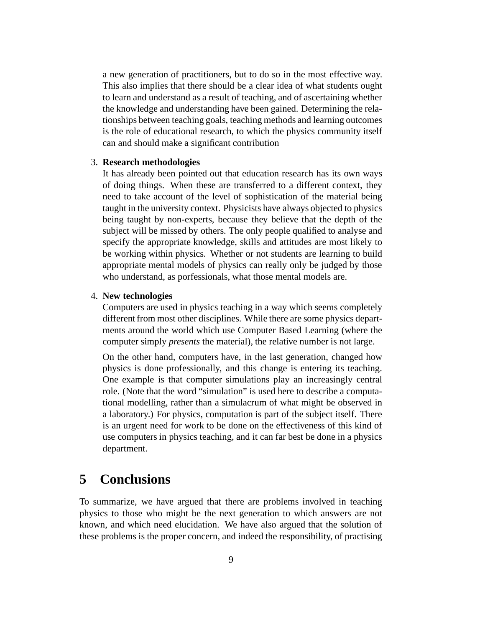a new generation of practitioners, but to do so in the most effective way. This also implies that there should be a clear idea of what students ought to learn and understand as a result of teaching, and of ascertaining whether the knowledge and understanding have been gained. Determining the relationships between teaching goals, teaching methods and learning outcomes is the role of educational research, to which the physics community itself can and should make a significant contribution

#### 3. **Research methodologies**

It has already been pointed out that education research has its own ways of doing things. When these are transferred to a different context, they need to take account of the level of sophistication of the material being taught in the university context. Physicists have always objected to physics being taught by non-experts, because they believe that the depth of the subject will be missed by others. The only people qualified to analyse and specify the appropriate knowledge, skills and attitudes are most likely to be working within physics. Whether or not students are learning to build appropriate mental models of physics can really only be judged by those who understand, as porfessionals, what those mental models are.

#### 4. **New technologies**

Computers are used in physics teaching in a way which seems completely different from most other disciplines. While there are some physics departments around the world which use Computer Based Learning (where the computer simply *presents* the material), the relative number is not large.

On the other hand, computers have, in the last generation, changed how physics is done professionally, and this change is entering its teaching. One example is that computer simulations play an increasingly central role. (Note that the word "simulation" is used here to describe a computational modelling, rather than a simulacrum of what might be observed in a laboratory.) For physics, computation is part of the subject itself. There is an urgent need for work to be done on the effectiveness of this kind of use computers in physics teaching, and it can far best be done in a physics department.

### **5 Conclusions**

To summarize, we have argued that there are problems involved in teaching physics to those who might be the next generation to which answers are not known, and which need elucidation. We have also argued that the solution of these problems is the proper concern, and indeed the responsibility, of practising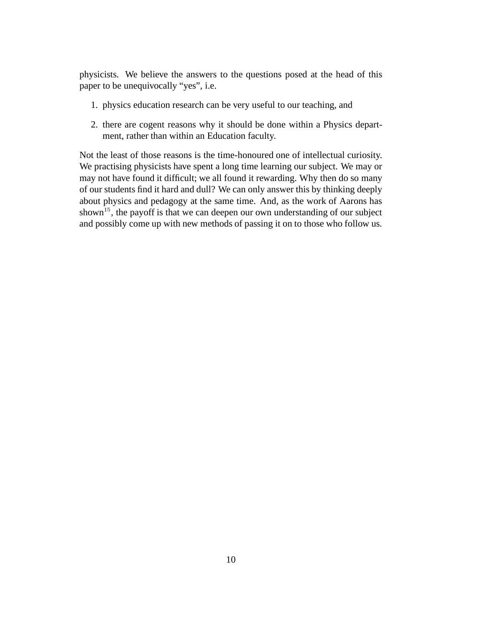physicists. We believe the answers to the questions posed at the head of this paper to be unequivocally "yes", i.e.

- 1. physics education research can be very useful to our teaching, and
- 2. there are cogent reasons why it should be done within a Physics department, rather than within an Education faculty.

Not the least of those reasons is the time-honoured one of intellectual curiosity. We practising physicists have spent a long time learning our subject. We may or may not have found it difficult; we all found it rewarding. Why then do so many of our students find it hard and dull? We can only answer this by thinking deeply about physics and pedagogy at the same time. And, as the work of Aarons has shown<sup>15</sup>, the payoff is that we can deepen our own understanding of our subject and possibly come up with new methods of passing it on to those who follow us.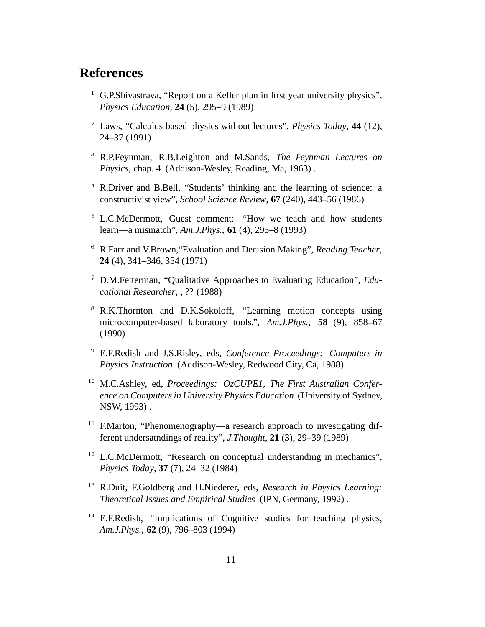### **References**

- <sup>1</sup> G.P.Shivastrava, "Report on a Keller plan in first year university physics", *Physics Education*, **24** (5), 295–9 (1989)
- Laws, "Calculus based physics without lectures", *Physics Today*, **44** (12), 24–37 (1991)
- R.P.Feynman, R.B.Leighton and M.Sands, *The Feynman Lectures on Physics,* chap. 4 (Addison-Wesley, Reading, Ma, 1963) .
- <sup>4</sup> R.Driver and B.Bell, "Students' thinking and the learning of science: a constructivist view", *School Science Review*, **67** (240), 443–56 (1986)
- <sup>5</sup> L.C.McDermott, Guest comment: "How we teach and how students learn—a mismatch", *Am.J.Phys.*, **61** (4), 295–8 (1993)
- R.Farr and V.Brown,"Evaluation and Decision Making", *Reading Teacher*, **24** (4), 341–346, 354 (1971)
- D.M.Fetterman, "Qualitative Approaches to Evaluating Education", *Educational Researcher*, , ?? (1988)
- <sup>8</sup> R.K.Thornton and D.K.Sokoloff, "Learning motion concepts using microcomputer-based laboratory tools.", *Am.J.Phys.*, **58** (9), 858–67 (1990)
- E.F.Redish and J.S.Risley, eds, *Conference Proceedings: Computers in Physics Instruction* (Addison-Wesley, Redwood City, Ca, 1988) .
- M.C.Ashley, ed, *Proceedings: OzCUPE1, The First Australian Conference on Computers in University Physics Education* (University of Sydney, NSW, 1993) .
- $11$  F.Marton, "Phenomenography—a research approach to investigating different undersatndings of reality", *J.Thought*, **21** (3), 29–39 (1989)
- $12$  L.C.McDermott, "Research on conceptual understanding in mechanics", *Physics Today*, **37** (7), 24–32 (1984)
- R.Duit, F.Goldberg and H.Niederer, eds, *Research in Physics Learning: Theoretical Issues and Empirical Studies* (IPN, Germany, 1992) .
- <sup>14</sup> E.F.Redish, "Implications of Cognitive studies for teaching physics, *Am.J.Phys.*, **62** (9), 796–803 (1994)